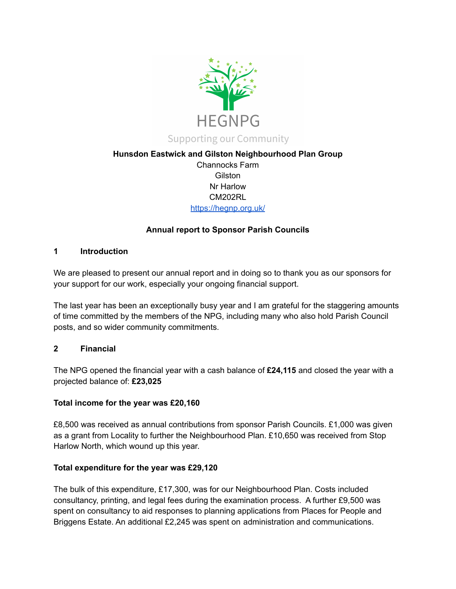

## **Hunsdon Eastwick and Gilston Neighbourhood Plan Group**

Channocks Farm Gilston Nr Harlow CM202RL <https://hegnp.org.uk/>

## **Annual report to Sponsor Parish Councils**

### **1 Introduction**

We are pleased to present our annual report and in doing so to thank you as our sponsors for your support for our work, especially your ongoing financial support.

The last year has been an exceptionally busy year and I am grateful for the staggering amounts of time committed by the members of the NPG, including many who also hold Parish Council posts, and so wider community commitments.

## **2 Financial**

The NPG opened the financial year with a cash balance of **£24,115** and closed the year with a projected balance of: **£23,025**

#### **Total income for the year was £20,160**

£8,500 was received as annual contributions from sponsor Parish Councils. £1,000 was given as a grant from Locality to further the Neighbourhood Plan. £10,650 was received from Stop Harlow North, which wound up this year.

#### **Total expenditure for the year was £29,120**

The bulk of this expenditure, £17,300, was for our Neighbourhood Plan. Costs included consultancy, printing, and legal fees during the examination process. A further £9,500 was spent on consultancy to aid responses to planning applications from Places for People and Briggens Estate. An additional £2,245 was spent on administration and communications.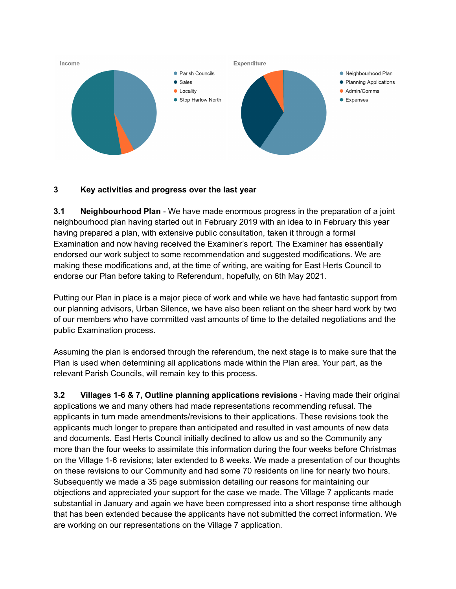

### **3 Key activities and progress over the last year**

**3.1 Neighbourhood Plan** - We have made enormous progress in the preparation of a joint neighbourhood plan having started out in February 2019 with an idea to in February this year having prepared a plan, with extensive public consultation, taken it through a formal Examination and now having received the Examiner's report. The Examiner has essentially endorsed our work subject to some recommendation and suggested modifications. We are making these modifications and, at the time of writing, are waiting for East Herts Council to endorse our Plan before taking to Referendum, hopefully, on 6th May 2021.

Putting our Plan in place is a major piece of work and while we have had fantastic support from our planning advisors, Urban Silence, we have also been reliant on the sheer hard work by two of our members who have committed vast amounts of time to the detailed negotiations and the public Examination process.

Assuming the plan is endorsed through the referendum, the next stage is to make sure that the Plan is used when determining all applications made within the Plan area. Your part, as the relevant Parish Councils, will remain key to this process.

**3.2 Villages 1-6 & 7, Outline planning applications revisions** - Having made their original applications we and many others had made representations recommending refusal. The applicants in turn made amendments/revisions to their applications. These revisions took the applicants much longer to prepare than anticipated and resulted in vast amounts of new data and documents. East Herts Council initially declined to allow us and so the Community any more than the four weeks to assimilate this information during the four weeks before Christmas on the Village 1-6 revisions; later extended to 8 weeks. We made a presentation of our thoughts on these revisions to our Community and had some 70 residents on line for nearly two hours. Subsequently we made a 35 page submission detailing our reasons for maintaining our objections and appreciated your support for the case we made. The Village 7 applicants made substantial in January and again we have been compressed into a short response time although that has been extended because the applicants have not submitted the correct information. We are working on our representations on the Village 7 application.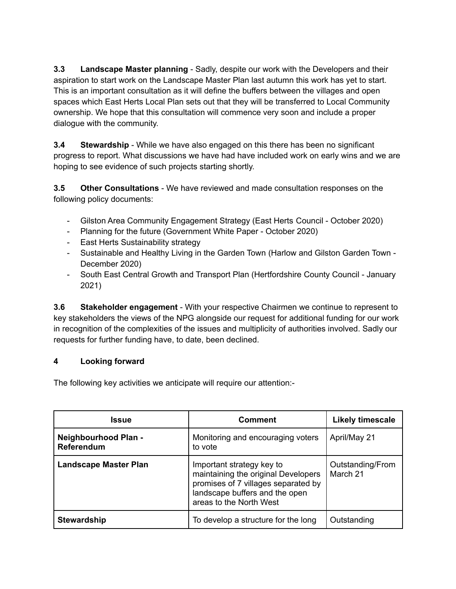**3.3 Landscape Master planning** - Sadly, despite our work with the Developers and their aspiration to start work on the Landscape Master Plan last autumn this work has yet to start. This is an important consultation as it will define the buffers between the villages and open spaces which East Herts Local Plan sets out that they will be transferred to Local Community ownership. We hope that this consultation will commence very soon and include a proper dialogue with the community.

**3.4 Stewardship** - While we have also engaged on this there has been no significant progress to report. What discussions we have had have included work on early wins and we are hoping to see evidence of such projects starting shortly.

**3.5 Other Consultations** - We have reviewed and made consultation responses on the following policy documents:

- Gilston Area Community Engagement Strategy (East Herts Council October 2020)
- Planning for the future (Government White Paper October 2020)
- East Herts Sustainability strategy
- Sustainable and Healthy Living in the Garden Town (Harlow and Gilston Garden Town December 2020)
- South East Central Growth and Transport Plan (Hertfordshire County Council January 2021)

**3.6 Stakeholder engagement** - With your respective Chairmen we continue to represent to key stakeholders the views of the NPG alongside our request for additional funding for our work in recognition of the complexities of the issues and multiplicity of authorities involved. Sadly our requests for further funding have, to date, been declined.

# **4 Looking forward**

The following key activities we anticipate will require our attention:-

| Issue                                     | <b>Comment</b>                                                                                                                                                       | <b>Likely timescale</b>      |
|-------------------------------------------|----------------------------------------------------------------------------------------------------------------------------------------------------------------------|------------------------------|
| Neighbourhood Plan -<br><b>Referendum</b> | Monitoring and encouraging voters<br>to vote                                                                                                                         | April/May 21                 |
| <b>Landscape Master Plan</b>              | Important strategy key to<br>maintaining the original Developers<br>promises of 7 villages separated by<br>landscape buffers and the open<br>areas to the North West | Outstanding/From<br>March 21 |
| <b>Stewardship</b>                        | To develop a structure for the long                                                                                                                                  | Outstanding                  |